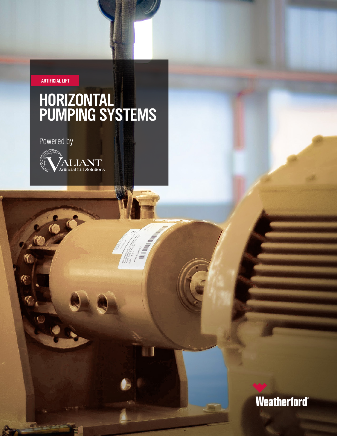**ARTIFICIAL LIFT**

## **HORIZONTAL PUMPING SYSTEMS**

Powered by

 $\epsilon$ 

 $\mathcal{K}$ 

Œ



Weatherford®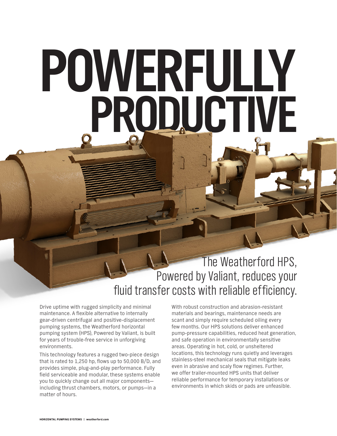# **POWERFULLY PRODUCTIVE**

### The Weatherford HPS, Powered by Valiant, reduces your fluid transfer costs with reliable efficiency.

Drive uptime with rugged simplicity and minimal maintenance. A flexible alternative to internally gear-driven centrifugal and positive-displacement pumping systems, the Weatherford horizontal pumping system (HPS), Powered by Valiant, is built for years of trouble-free service in unforgiving environments.

This technology features a rugged two-piece design that is rated to 1,250 hp, flows up to 50,000 B/D, and provides simple, plug-and-play performance. Fully field serviceable and modular, these systems enable you to quickly change out all major components including thrust chambers, motors, or pumps—in a matter of hours.

With robust construction and abrasion-resistant materials and bearings, maintenance needs are scant and simply require scheduled oiling every few months. Our HPS solutions deliver enhanced pump-pressure capabilities, reduced heat generation, and safe operation in environmentally sensitive areas. Operating in hot, cold, or unsheltered locations, this technology runs quietly and leverages stainless-steel mechanical seals that mitigate leaks even in abrasive and scaly flow regimes. Further, we offer trailer-mounted HPS units that deliver reliable performance for temporary installations or environments in which skids or pads are unfeasible.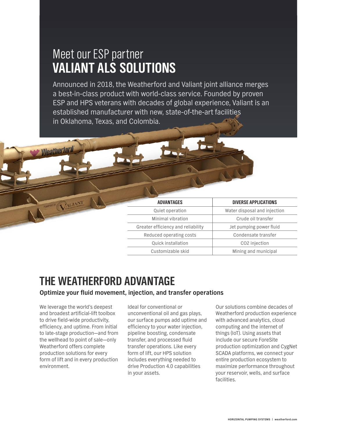### Meet our ESP partner **VALIANT ALS SOLUTIONS**

Announced in 2018, the Weatherford and Valiant joint alliance merges a best-in-class product with world-class service. Founded by proven ESP and HPS veterans with decades of global experience, Valiant is an established manufacturer with new, state-of-the-art facilities in Oklahoma, Texas, and Colombia.



| <b>ADVANTAGES</b>                  | <b>DIVERSE APPLICATIONS</b>  |
|------------------------------------|------------------------------|
| Quiet operation                    | Water disposal and injection |
| Minimal vibration                  | Crude oil transfer           |
| Greater efficiency and reliability | Jet pumping power fluid      |
| Reduced operating costs            | Condensate transfer          |
| Quick installation                 | CO <sub>2</sub> injection    |
| Customizable skid                  | Mining and municipal         |
|                                    |                              |

## **THE WEATHERFORD ADVANTAGE**

#### **Optimize your fluid movement, injection, and transfer operations**

We leverage the world's deepest and broadest artificial-lift toolbox to drive field-wide productivity, efficiency, and uptime. From initial to late-stage production—and from the wellhead to point of sale—only Weatherford offers complete production solutions for every form of lift and in every production environment.

Ideal for conventional or unconventional oil and gas plays, our surface pumps add uptime and efficiency to your water injection, pipeline boosting, condensate transfer, and processed fluid transfer operations. Like every form of lift, our HPS solution includes everything needed to drive Production 4.0 capabilities in your assets.

Our solutions combine decades of Weatherford production experience with advanced analytics, cloud computing and the internet of things (IoT). Using assets that include our secure ForeSite production optimization and CygNet SCADA platforms, we connect your entire production ecosystem to maximize performance throughout your reservoir, wells, and surface facilities.